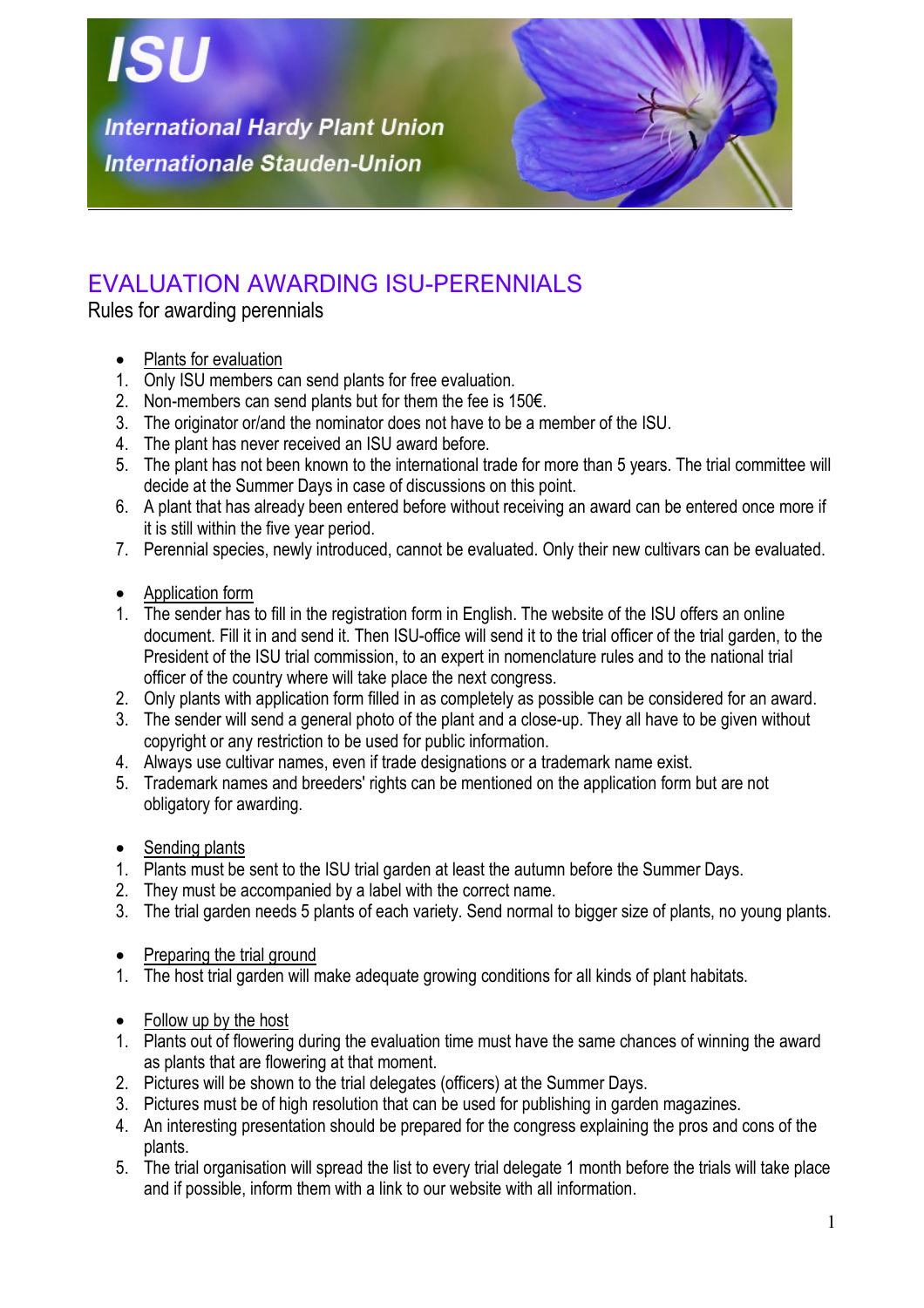

## EVALUATION AWARDING ISU-PERENNIALS

Rules for awarding perennials

- Plants for evaluation
- 1. Only ISU members can send plants for free evaluation.
- 2. Non-members can send plants but for them the fee is 150€.
- 3. The originator or/and the nominator does not have to be a member of the ISU.
- 4. The plant has never received an ISU award before.
- 5. The plant has not been known to the international trade for more than 5 years. The trial committee will decide at the Summer Days in case of discussions on this point.
- 6. A plant that has already been entered before without receiving an award can be entered once more if it is still within the five year period.
- 7. Perennial species, newly introduced, cannot be evaluated. Only their new cultivars can be evaluated.
- Application form
- 1. The sender has to fill in the registration form in English. The website of the ISU offers an online document. Fill it in and send it. Then ISU-office will send it to the trial officer of the trial garden, to the President of the ISU trial commission, to an expert in nomenclature rules and to the national trial officer of the country where will take place the next congress.
- 2. Only plants with application form filled in as completely as possible can be considered for an award.
- 3. The sender will send a general photo of the plant and a close-up. They all have to be given without copyright or any restriction to be used for public information.
- 4. Always use cultivar names, even if trade designations or a trademark name exist.
- 5. Trademark names and breeders' rights can be mentioned on the application form but are not obligatory for awarding.
- Sending plants
- 1. Plants must be sent to the ISU trial garden at least the autumn before the Summer Days.
- 2. They must be accompanied by a label with the correct name.
- 3. The trial garden needs 5 plants of each variety. Send normal to bigger size of plants, no young plants.
- Preparing the trial ground
- 1. The host trial garden will make adequate growing conditions for all kinds of plant habitats.
- Follow up by the host
- 1. Plants out of flowering during the evaluation time must have the same chances of winning the award as plants that are flowering at that moment.
- 2. Pictures will be shown to the trial delegates (officers) at the Summer Days.
- 3. Pictures must be of high resolution that can be used for publishing in garden magazines.
- 4. An interesting presentation should be prepared for the congress explaining the pros and cons of the plants.
- 5. The trial organisation will spread the list to every trial delegate 1 month before the trials will take place and if possible, inform them with a link to our website with all information.